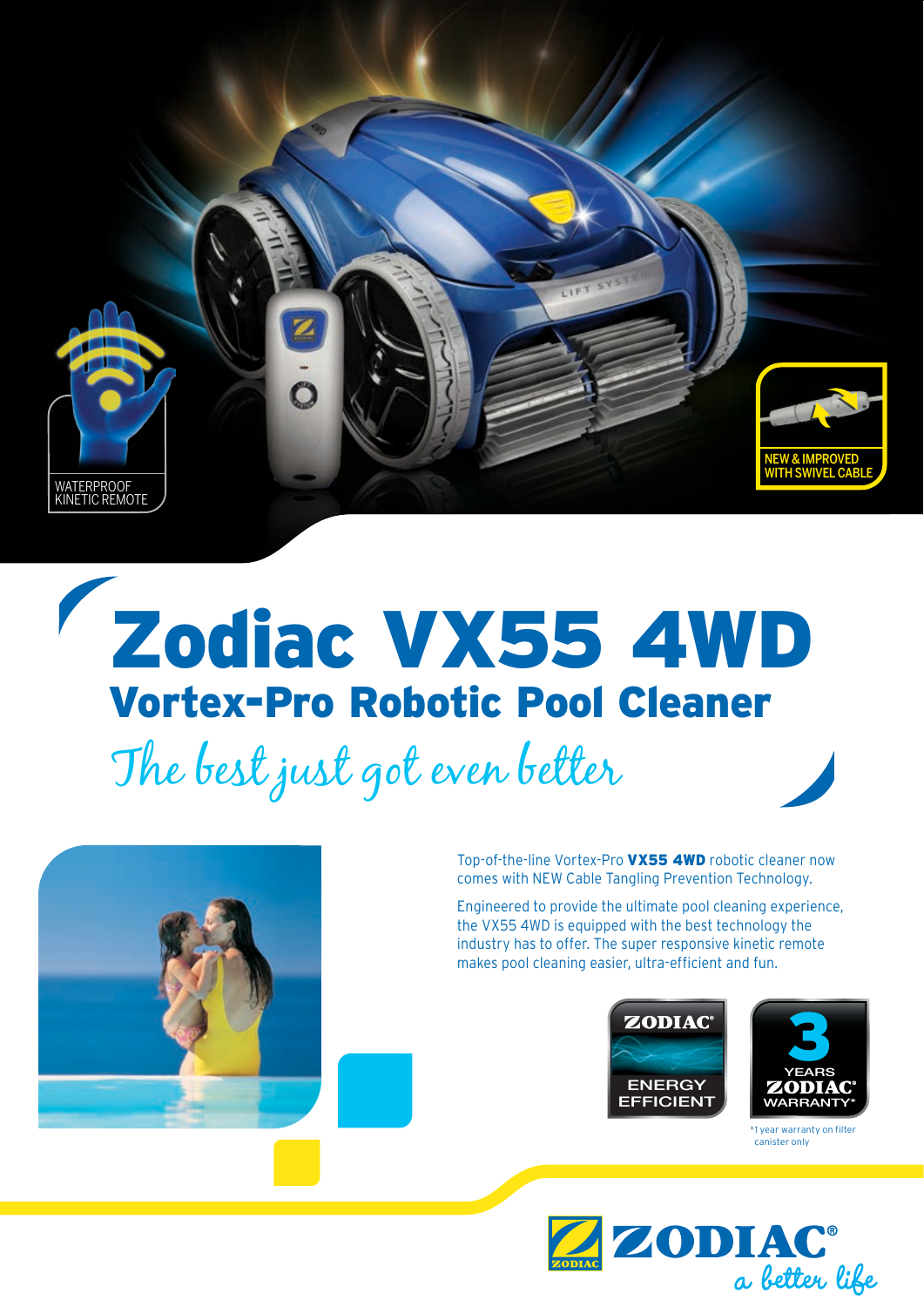

# Zodiac VX55 4WD Vortex-Pro Robotic Pool Cleaner

The best just got even better



Engineered to provide the ultimate pool cleaning experience, the VX55 4WD is equipped with the best technology the industry has to offer. The super responsive kinetic remote makes pool cleaning easier, ultra-efficient and fun.





 $*1$  year warranty canister only